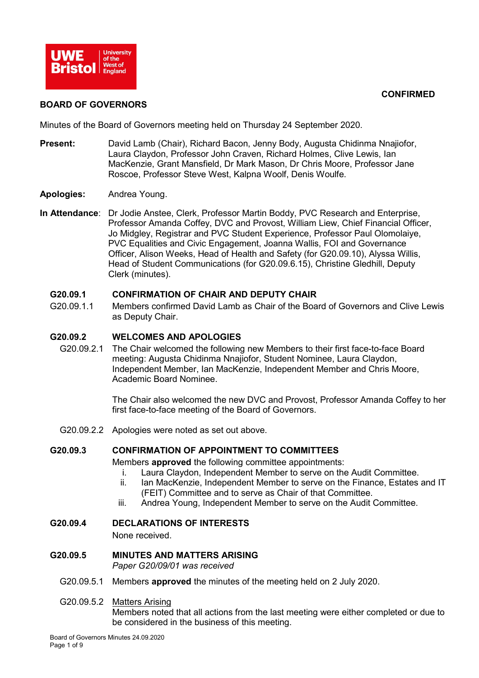

### **CONFIRMED**

#### **BOARD OF GOVERNORS**

Minutes of the Board of Governors meeting held on Thursday 24 September 2020.

- **Present:** David Lamb (Chair), Richard Bacon, Jenny Body, Augusta Chidinma Nnajiofor, Laura Claydon, Professor John Craven, Richard Holmes, Clive Lewis, Ian MacKenzie, Grant Mansfield, Dr Mark Mason, Dr Chris Moore, Professor Jane Roscoe, Professor Steve West, Kalpna Woolf, Denis Woulfe.
- **Apologies:** Andrea Young.
- **In Attendance**: Dr Jodie Anstee, Clerk, Professor Martin Boddy, PVC Research and Enterprise, Professor Amanda Coffey, DVC and Provost, William Liew, Chief Financial Officer, Jo Midgley, Registrar and PVC Student Experience, Professor Paul Olomolaiye, PVC Equalities and Civic Engagement, Joanna Wallis, FOI and Governance Officer, Alison Weeks, Head of Health and Safety (for G20.09.10), Alyssa Willis, Head of Student Communications (for G20.09.6.15), Christine Gledhill, Deputy Clerk (minutes).

### **G20.09.1 CONFIRMATION OF CHAIR AND DEPUTY CHAIR**

G20.09.1.1 Members confirmed David Lamb as Chair of the Board of Governors and Clive Lewis as Deputy Chair.

#### **G20.09.2 WELCOMES AND APOLOGIES**

G20.09.2.1 The Chair welcomed the following new Members to their first face-to-face Board meeting: Augusta Chidinma Nnajiofor, Student Nominee, Laura Claydon, Independent Member, Ian MacKenzie, Independent Member and Chris Moore, Academic Board Nominee.

> The Chair also welcomed the new DVC and Provost, Professor Amanda Coffey to her first face-to-face meeting of the Board of Governors.

G20.09.2.2 Apologies were noted as set out above.

#### **G20.09.3 CONFIRMATION OF APPOINTMENT TO COMMITTEES**

Members **approved** the following committee appointments:

- i. Laura Claydon, Independent Member to serve on the Audit Committee.
- ii. Ian MacKenzie, Independent Member to serve on the Finance, Estates and IT (FEIT) Committee and to serve as Chair of that Committee.
- iii. Andrea Young, Independent Member to serve on the Audit Committee.

### **G20.09.4 DECLARATIONS OF INTERESTS**

None received.

# **G20.09.5 MINUTES AND MATTERS ARISING**

*Paper G20/09/01 was received*

- G20.09.5.1 Members **approved** the minutes of the meeting held on 2 July 2020.
- G20.09.5.2 Matters Arising

Members noted that all actions from the last meeting were either completed or due to be considered in the business of this meeting.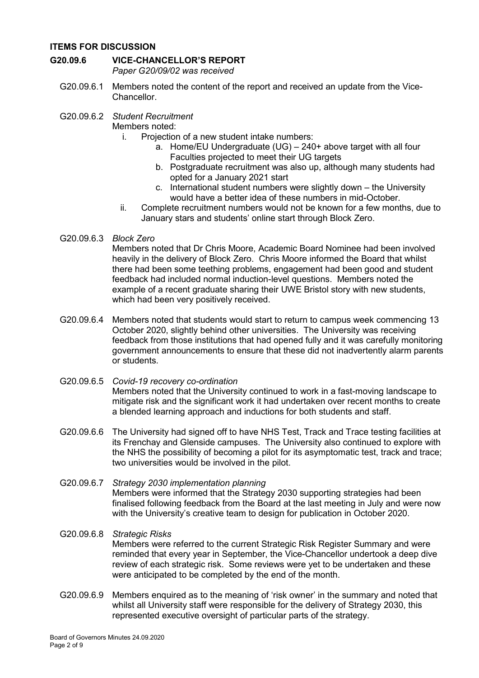### **ITEMS FOR DISCUSSION**

# **G20.09.6 VICE-CHANCELLOR'S REPORT**

*Paper G20/09/02 was received*

- G20.09.6.1 Members noted the content of the report and received an update from the Vice-Chancellor.
- G20.09.6.2 *Student Recruitment*
	- Members noted:
		- i. Projection of a new student intake numbers:
			- a. Home/EU Undergraduate (UG) 240+ above target with all four Faculties projected to meet their UG targets
			- b. Postgraduate recruitment was also up, although many students had opted for a January 2021 start
			- c. International student numbers were slightly down the University would have a better idea of these numbers in mid-October.
		- ii. Complete recruitment numbers would not be known for a few months, due to January stars and students' online start through Block Zero.
- G20.09.6.3 *Block Zero*

Members noted that Dr Chris Moore, Academic Board Nominee had been involved heavily in the delivery of Block Zero. Chris Moore informed the Board that whilst there had been some teething problems, engagement had been good and student feedback had included normal induction-level questions. Members noted the example of a recent graduate sharing their UWE Bristol story with new students, which had been very positively received.

- G20.09.6.4 Members noted that students would start to return to campus week commencing 13 October 2020, slightly behind other universities. The University was receiving feedback from those institutions that had opened fully and it was carefully monitoring government announcements to ensure that these did not inadvertently alarm parents or students.
- G20.09.6.5 *Covid-19 recovery co-ordination* Members noted that the University continued to work in a fast-moving landscape to mitigate risk and the significant work it had undertaken over recent months to create a blended learning approach and inductions for both students and staff.
- G20.09.6.6 The University had signed off to have NHS Test, Track and Trace testing facilities at its Frenchay and Glenside campuses. The University also continued to explore with the NHS the possibility of becoming a pilot for its asymptomatic test, track and trace; two universities would be involved in the pilot.
- G20.09.6.7 *Strategy 2030 implementation planning* Members were informed that the Strategy 2030 supporting strategies had been finalised following feedback from the Board at the last meeting in July and were now with the University's creative team to design for publication in October 2020.

# G20.09.6.8 *Strategic Risks* Members were referred to the current Strategic Risk Register Summary and were reminded that every year in September, the Vice-Chancellor undertook a deep dive review of each strategic risk. Some reviews were yet to be undertaken and these were anticipated to be completed by the end of the month.

G20.09.6.9 Members enquired as to the meaning of 'risk owner' in the summary and noted that whilst all University staff were responsible for the delivery of Strategy 2030, this represented executive oversight of particular parts of the strategy.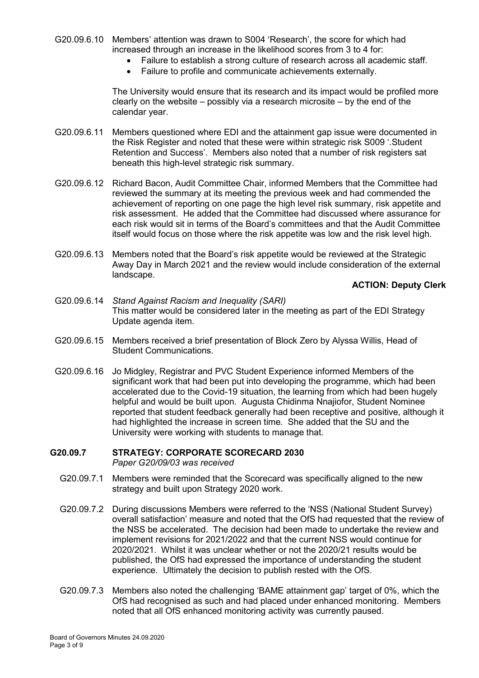- G20.09.6.10 Members' attention was drawn to S004 'Research', the score for which had increased through an increase in the likelihood scores from 3 to 4 for:
	- Failure to establish a strong culture of research across all academic staff.
	- Failure to profile and communicate achievements externally.

The University would ensure that its research and its impact would be profiled more clearly on the website – possibly via a research microsite – by the end of the calendar year.

- G20.09.6.11 Members questioned where EDI and the attainment gap issue were documented in the Risk Register and noted that these were within strategic risk S009 '.Student Retention and Success'. Members also noted that a number of risk registers sat beneath this high-level strategic risk summary.
- G20.09.6.12 Richard Bacon, Audit Committee Chair, informed Members that the Committee had reviewed the summary at its meeting the previous week and had commended the achievement of reporting on one page the high level risk summary, risk appetite and risk assessment. He added that the Committee had discussed where assurance for each risk would sit in terms of the Board's committees and that the Audit Committee itself would focus on those where the risk appetite was low and the risk level high.
- G20.09.6.13 Members noted that the Board's risk appetite would be reviewed at the Strategic Away Day in March 2021 and the review would include consideration of the external landscape.

#### **ACTION: Deputy Clerk**

- G20.09.6.14 *Stand Against Racism and Inequality (SARI)* This matter would be considered later in the meeting as part of the EDI Strategy Update agenda item.
- G20.09.6.15 Members received a brief presentation of Block Zero by Alyssa Willis, Head of Student Communications.
- G20.09.6.16 Jo Midgley, Registrar and PVC Student Experience informed Members of the significant work that had been put into developing the programme, which had been accelerated due to the Covid-19 situation, the learning from which had been hugely helpful and would be built upon. Augusta Chidinma Nnajiofor, Student Nominee reported that student feedback generally had been receptive and positive, although it had highlighted the increase in screen time. She added that the SU and the University were working with students to manage that.

#### **G20.09.7 STRATEGY: CORPORATE SCORECARD 2030** *Paper G20/09/03 was received*

- G20.09.7.1 Members were reminded that the Scorecard was specifically aligned to the new strategy and built upon Strategy 2020 work.
- G20.09.7.2 During discussions Members were referred to the 'NSS (National Student Survey) overall satisfaction' measure and noted that the OfS had requested that the review of the NSS be accelerated. The decision had been made to undertake the review and implement revisions for 2021/2022 and that the current NSS would continue for 2020/2021. Whilst it was unclear whether or not the 2020/21 results would be published, the OfS had expressed the importance of understanding the student experience. Ultimately the decision to publish rested with the OfS.
- G20.09.7.3 Members also noted the challenging 'BAME attainment gap' target of 0%, which the OfS had recognised as such and had placed under enhanced monitoring. Members noted that all OfS enhanced monitoring activity was currently paused.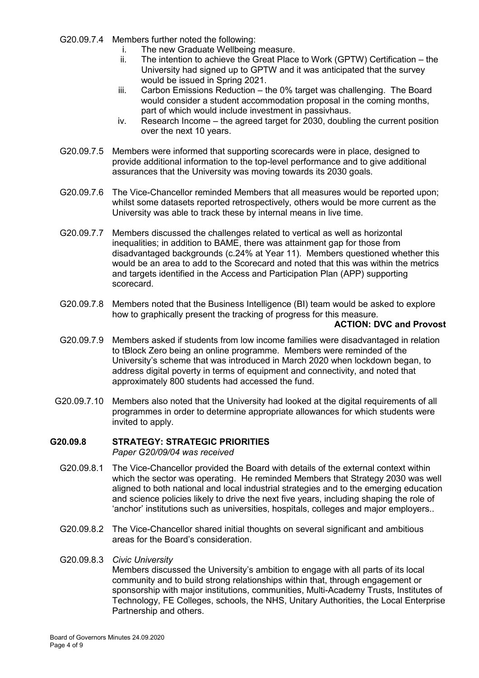- G20.09.7.4 Members further noted the following:
	- i. The new Graduate Wellbeing measure.
	- ii. The intention to achieve the Great Place to Work (GPTW) Certification the University had signed up to GPTW and it was anticipated that the survey would be issued in Spring 2021.
	- iii. Carbon Emissions Reduction the 0% target was challenging. The Board would consider a student accommodation proposal in the coming months, part of which would include investment in passivhaus.
	- iv. Research Income the agreed target for 2030, doubling the current position over the next 10 years.
- G20.09.7.5 Members were informed that supporting scorecards were in place, designed to provide additional information to the top-level performance and to give additional assurances that the University was moving towards its 2030 goals.
- G20.09.7.6 The Vice-Chancellor reminded Members that all measures would be reported upon; whilst some datasets reported retrospectively, others would be more current as the University was able to track these by internal means in live time.
- G20.09.7.7 Members discussed the challenges related to vertical as well as horizontal inequalities; in addition to BAME, there was attainment gap for those from disadvantaged backgrounds (c.24% at Year 11). Members questioned whether this would be an area to add to the Scorecard and noted that this was within the metrics and targets identified in the Access and Participation Plan (APP) supporting scorecard.
- G20.09.7.8 Members noted that the Business Intelligence (BI) team would be asked to explore how to graphically present the tracking of progress for this measure.

#### **ACTION: DVC and Provost**

- G20.09.7.9 Members asked if students from low income families were disadvantaged in relation to tBlock Zero being an online programme. Members were reminded of the University's scheme that was introduced in March 2020 when lockdown began, to address digital poverty in terms of equipment and connectivity, and noted that approximately 800 students had accessed the fund.
- G20.09.7.10 Members also noted that the University had looked at the digital requirements of all programmes in order to determine appropriate allowances for which students were invited to apply.

# **G20.09.8 STRATEGY: STRATEGIC PRIORITIES**

*Paper G20/09/04 was received*

- G20.09.8.1 The Vice-Chancellor provided the Board with details of the external context within which the sector was operating. He reminded Members that Strategy 2030 was well aligned to both national and local industrial strategies and to the emerging education and science policies likely to drive the next five years, including shaping the role of 'anchor' institutions such as universities, hospitals, colleges and major employers..
- G20.09.8.2 The Vice-Chancellor shared initial thoughts on several significant and ambitious areas for the Board's consideration.

#### G20.09.8.3 *Civic University*

Members discussed the University's ambition to engage with all parts of its local community and to build strong relationships within that, through engagement or sponsorship with major institutions, communities, Multi-Academy Trusts, Institutes of Technology, FE Colleges, schools, the NHS, Unitary Authorities, the Local Enterprise Partnership and others.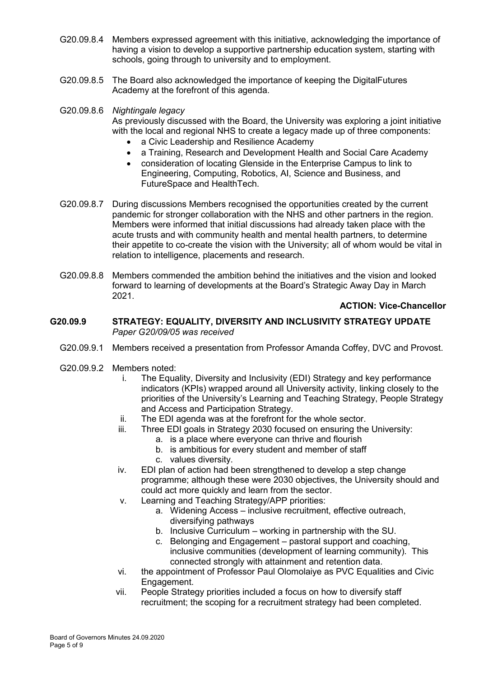- G20.09.8.4 Members expressed agreement with this initiative, acknowledging the importance of having a vision to develop a supportive partnership education system, starting with schools, going through to university and to employment.
- G20.09.8.5 The Board also acknowledged the importance of keeping the DigitalFutures Academy at the forefront of this agenda.

G20.09.8.6 *Nightingale legacy* As previously discussed with the Board, the University was exploring a joint initiative with the local and regional NHS to create a legacy made up of three components:

- a Civic Leadership and Resilience Academy
- a Training, Research and Development Health and Social Care Academy
- consideration of locating Glenside in the Enterprise Campus to link to Engineering, Computing, Robotics, AI, Science and Business, and FutureSpace and HealthTech.
- G20.09.8.7 During discussions Members recognised the opportunities created by the current pandemic for stronger collaboration with the NHS and other partners in the region. Members were informed that initial discussions had already taken place with the acute trusts and with community health and mental health partners, to determine their appetite to co-create the vision with the University; all of whom would be vital in relation to intelligence, placements and research.
- G20.09.8.8 Members commended the ambition behind the initiatives and the vision and looked forward to learning of developments at the Board's Strategic Away Day in March 2021.

### **ACTION: Vice-Chancellor**

### **G20.09.9 STRATEGY: EQUALITY, DIVERSITY AND INCLUSIVITY STRATEGY UPDATE**  *Paper G20/09/05 was received*

- G20.09.9.1 Members received a presentation from Professor Amanda Coffey, DVC and Provost.
- G20.09.9.2 Members noted:
	- i. The Equality, Diversity and Inclusivity (EDI) Strategy and key performance indicators (KPIs) wrapped around all University activity, linking closely to the priorities of the University's Learning and Teaching Strategy, People Strategy and Access and Participation Strategy.
	- ii. The EDI agenda was at the forefront for the whole sector.
	- iii. Three EDI goals in Strategy 2030 focused on ensuring the University:
		- a. is a place where everyone can thrive and flourish
		- b. is ambitious for every student and member of staff
		- c. values diversity.
	- iv. EDI plan of action had been strengthened to develop a step change programme; although these were 2030 objectives, the University should and could act more quickly and learn from the sector.
	- v. Learning and Teaching Strategy/APP priorities:
		- a. Widening Access inclusive recruitment, effective outreach, diversifying pathways
		- b. Inclusive Curriculum working in partnership with the SU.
		- c. Belonging and Engagement pastoral support and coaching, inclusive communities (development of learning community). This connected strongly with attainment and retention data.
	- vi. the appointment of Professor Paul Olomolaiye as PVC Equalities and Civic Engagement.
	- vii. People Strategy priorities included a focus on how to diversify staff recruitment; the scoping for a recruitment strategy had been completed.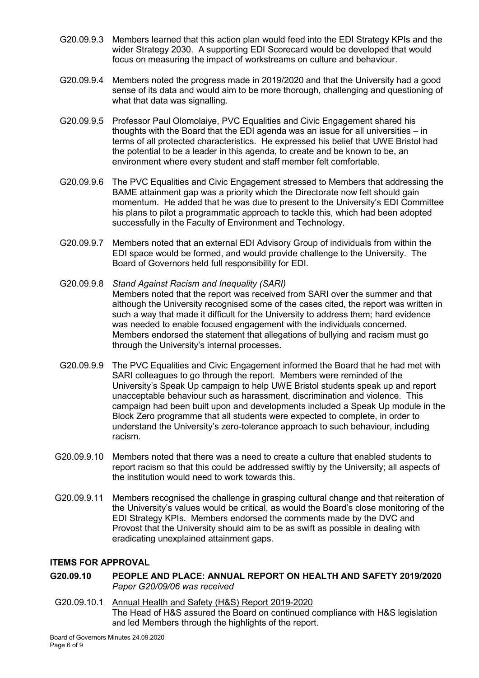- G20.09.9.3 Members learned that this action plan would feed into the EDI Strategy KPIs and the wider Strategy 2030. A supporting EDI Scorecard would be developed that would focus on measuring the impact of workstreams on culture and behaviour.
- G20.09.9.4 Members noted the progress made in 2019/2020 and that the University had a good sense of its data and would aim to be more thorough, challenging and questioning of what that data was signalling.
- G20.09.9.5 Professor Paul Olomolaiye, PVC Equalities and Civic Engagement shared his thoughts with the Board that the EDI agenda was an issue for all universities – in terms of all protected characteristics. He expressed his belief that UWE Bristol had the potential to be a leader in this agenda, to create and be known to be, an environment where every student and staff member felt comfortable.
- G20.09.9.6 The PVC Equalities and Civic Engagement stressed to Members that addressing the BAME attainment gap was a priority which the Directorate now felt should gain momentum. He added that he was due to present to the University's EDI Committee his plans to pilot a programmatic approach to tackle this, which had been adopted successfully in the Faculty of Environment and Technology.
- G20.09.9.7 Members noted that an external EDI Advisory Group of individuals from within the EDI space would be formed, and would provide challenge to the University. The Board of Governors held full responsibility for EDI.
- G20.09.9.8 *Stand Against Racism and Inequality (SARI)* Members noted that the report was received from SARI over the summer and that although the University recognised some of the cases cited, the report was written in such a way that made it difficult for the University to address them; hard evidence was needed to enable focused engagement with the individuals concerned. Members endorsed the statement that allegations of bullying and racism must go through the University's internal processes.
- G20.09.9.9 The PVC Equalities and Civic Engagement informed the Board that he had met with SARI colleagues to go through the report. Members were reminded of the University's Speak Up campaign to help UWE Bristol students speak up and report unacceptable behaviour such as harassment, discrimination and violence. This campaign had been built upon and developments included a Speak Up module in the Block Zero programme that all students were expected to complete, in order to understand the University's zero-tolerance approach to such behaviour, including racism.
- G20.09.9.10 Members noted that there was a need to create a culture that enabled students to report racism so that this could be addressed swiftly by the University; all aspects of the institution would need to work towards this.
- G20.09.9.11 Members recognised the challenge in grasping cultural change and that reiteration of the University's values would be critical, as would the Board's close monitoring of the EDI Strategy KPIs. Members endorsed the comments made by the DVC and Provost that the University should aim to be as swift as possible in dealing with eradicating unexplained attainment gaps.

### **ITEMS FOR APPROVAL**

- **G20.09.10 PEOPLE AND PLACE: ANNUAL REPORT ON HEALTH AND SAFETY 2019/2020** *Paper G20/09/06 was received*
- G20.09.10.1 Annual Health and Safety (H&S) Report 2019-2020 The Head of H&S assured the Board on continued compliance with H&S legislation and led Members through the highlights of the report.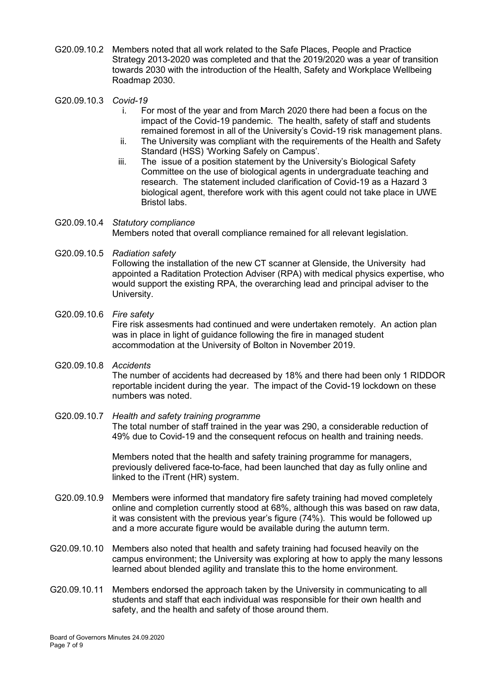- G20.09.10.2 Members noted that all work related to the Safe Places, People and Practice Strategy 2013-2020 was completed and that the 2019/2020 was a year of transition towards 2030 with the introduction of the Health, Safety and Workplace Wellbeing Roadmap 2030.
- G20.09.10.3 *Covid-19*
	- i. For most of the year and from March 2020 there had been a focus on the impact of the Covid-19 pandemic. The health, safety of staff and students remained foremost in all of the University's Covid-19 risk management plans.
	- ii. The University was compliant with the requirements of the Health and Safety Standard (HSS) 'Working Safely on Campus'.
	- iii. The issue of a position statement by the University's Biological Safety Committee on the use of biological agents in undergraduate teaching and research. The statement included clarification of Covid-19 as a Hazard 3 biological agent, therefore work with this agent could not take place in UWE Bristol labs.

### G20.09.10.4 *Statutory compliance* Members noted that overall compliance remained for all relevant legislation.

G20.09.10.5 *Radiation safety* Following the installation of the new CT scanner at Glenside, the University had appointed a Raditation Protection Adviser (RPA) with medical physics expertise, who would support the existing RPA, the overarching lead and principal adviser to the University.

### G20.09.10.6 *Fire safety* Fire risk assesments had continued and were undertaken remotely. An action plan was in place in light of guidance following the fire in managed student accommodation at the University of Bolton in November 2019.

# G20.09.10.8 *Accidents* The number of accidents had decreased by 18% and there had been only 1 RIDDOR reportable incident during the year. The impact of the Covid-19 lockdown on these numbers was noted.

#### G20.09.10.7 *Health and safety training programme* The total number of staff trained in the year was 290, a considerable reduction of 49% due to Covid-19 and the consequent refocus on health and training needs.

Members noted that the health and safety training programme for managers, previously delivered face-to-face, had been launched that day as fully online and linked to the iTrent (HR) system.

- G20.09.10.9 Members were informed that mandatory fire safety training had moved completely online and completion currently stood at 68%, although this was based on raw data, it was consistent with the previous year's figure (74%). This would be followed up and a more accurate figure would be available during the autumn term.
- G20.09.10.10 Members also noted that health and safety training had focused heavily on the campus environment; the University was exploring at how to apply the many lessons learned about blended agility and translate this to the home environment.
- G20.09.10.11 Members endorsed the approach taken by the University in communicating to all students and staff that each individual was responsible for their own health and safety, and the health and safety of those around them.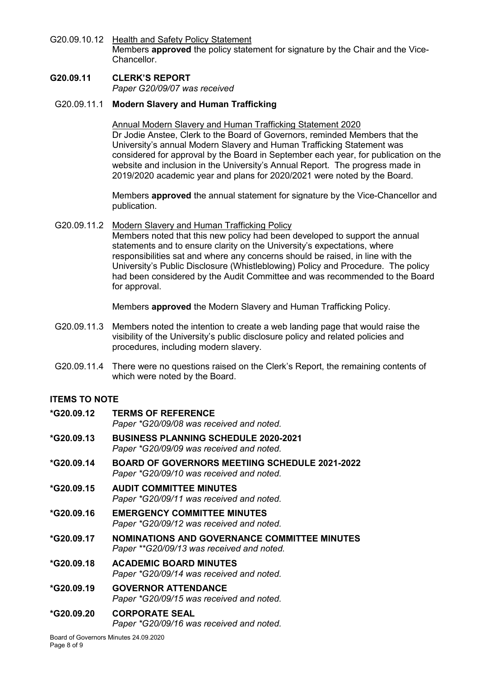G20.09.10.12 Health and Safety Policy Statement Members **approved** the policy statement for signature by the Chair and the Vice-**Chancellor** 

## **G20.09.11 CLERK'S REPORT** *Paper G20/09/07 was received*

# G20.09.11.1 **Modern Slavery and Human Trafficking**

Annual Modern Slavery and Human Trafficking Statement 2020 Dr Jodie Anstee, Clerk to the Board of Governors, reminded Members that the University's annual Modern Slavery and Human Trafficking Statement was considered for approval by the Board in September each year, for publication on the website and inclusion in the University's Annual Report. The progress made in 2019/2020 academic year and plans for 2020/2021 were noted by the Board.

Members **approved** the annual statement for signature by the Vice-Chancellor and publication.

G20.09.11.2 Modern Slavery and Human Trafficking Policy Members noted that this new policy had been developed to support the annual statements and to ensure clarity on the University's expectations, where responsibilities sat and where any concerns should be raised, in line with the University's Public Disclosure (Whistleblowing) Policy and Procedure. The policy had been considered by the Audit Committee and was recommended to the Board for approval.

Members **approved** the Modern Slavery and Human Trafficking Policy.

- G20.09.11.3 Members noted the intention to create a web landing page that would raise the visibility of the University's public disclosure policy and related policies and procedures, including modern slavery.
- G20.09.11.4 There were no questions raised on the Clerk's Report, the remaining contents of which were noted by the Board.

# **ITEMS TO NOTE**

| *G20.09.12 | <b>TERMS OF REFERENCE</b><br>Paper *G20/09/08 was received and noted.                             |
|------------|---------------------------------------------------------------------------------------------------|
| *G20.09.13 | <b>BUSINESS PLANNING SCHEDULE 2020-2021</b><br>Paper *G20/09/09 was received and noted.           |
| *G20.09.14 | <b>BOARD OF GOVERNORS MEETIING SCHEDULE 2021-2022</b><br>Paper *G20/09/10 was received and noted. |
| *G20.09.15 | <b>AUDIT COMMITTEE MINUTES</b><br>Paper *G20/09/11 was received and noted.                        |
| *G20.09.16 | <b>EMERGENCY COMMITTEE MINUTES</b><br>Paper *G20/09/12 was received and noted.                    |
| *G20.09.17 | <b>NOMINATIONS AND GOVERNANCE COMMITTEE MINUTES</b><br>Paper **G20/09/13 was received and noted.  |
| *G20.09.18 | <b>ACADEMIC BOARD MINUTES</b><br>Paper *G20/09/14 was received and noted.                         |
| *G20.09.19 | <b>GOVERNOR ATTENDANCE</b><br>Paper *G20/09/15 was received and noted.                            |
| *G20.09.20 | <b>CORPORATE SEAL</b><br>Paper *G20/09/16 was received and noted.                                 |